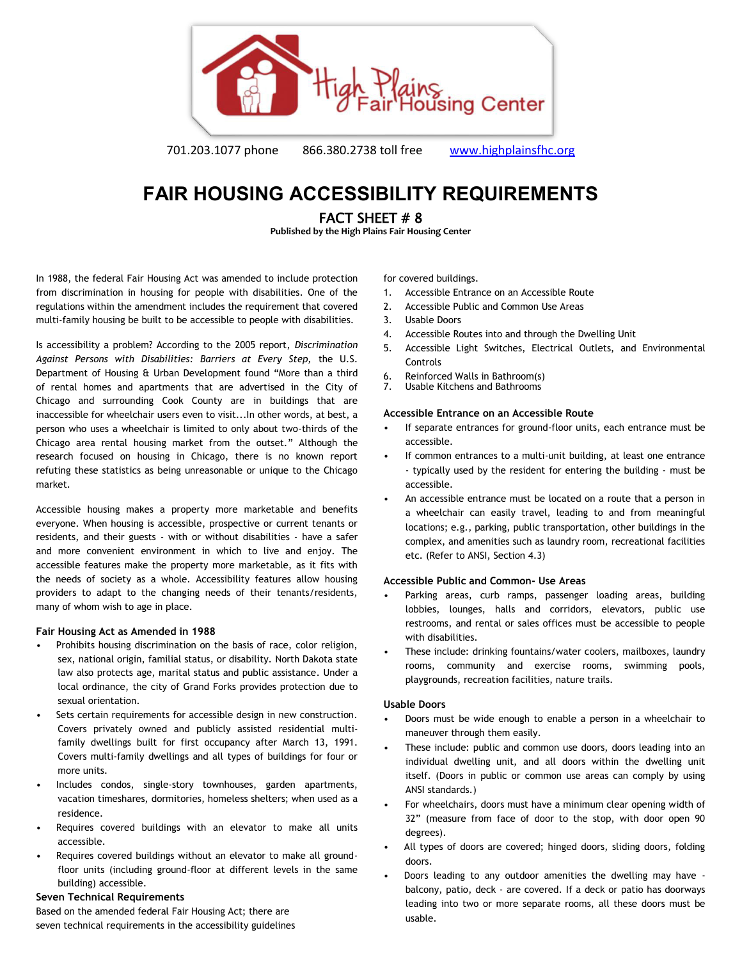

701.203.1077 phone 866.380.2738 toll free [www.highplainsfhc.org](http://www.highplainsfhc.org/)

# **FAIR HOUSING ACCESSIBILITY REQUIREMENTS**

FACT SHEET # 8

**Published by the High Plains Fair Housing Center** 

In 1988, the federal Fair Housing Act was amended to include protection from discrimination in housing for people with disabilities. One of the regulations within the amendment includes the requirement that covered multi-family housing be built to be accessible to people with disabilities.

Is accessibility a problem? According to the 2005 report, *Discrimination Against Persons with Disabilities: Barriers at Every Step,* the U.S. Department of Housing & Urban Development found "More than a third of rental homes and apartments that are advertised in the City of Chicago and surrounding Cook County are in buildings that are inaccessible for wheelchair users even to visit...In other words, at best, a person who uses a wheelchair is limited to only about two-thirds of the Chicago area rental housing market from the outset." Although the research focused on housing in Chicago, there is no known report refuting these statistics as being unreasonable or unique to the Chicago market.

Accessible housing makes a property more marketable and benefits everyone. When housing is accessible, prospective or current tenants or residents, and their guests - with or without disabilities - have a safer and more convenient environment in which to live and enjoy. The accessible features make the property more marketable, as it fits with the needs of society as a whole. Accessibility features allow housing providers to adapt to the changing needs of their tenants/residents, many of whom wish to age in place.

## **Fair Housing Act as Amended in 1988**

- Prohibits housing discrimination on the basis of race, color religion, sex, national origin, familial status, or disability. North Dakota state law also protects age, marital status and public assistance. Under a local ordinance, the city of Grand Forks provides protection due to sexual orientation.
- Sets certain requirements for accessible design in new construction. Covers privately owned and publicly assisted residential multifamily dwellings built for first occupancy after March 13, 1991. Covers multi-family dwellings and all types of buildings for four or more units.
- Includes condos, single-story townhouses, garden apartments, vacation timeshares, dormitories, homeless shelters; when used as a residence.
- Requires covered buildings with an elevator to make all units accessible.
- Requires covered buildings without an elevator to make all groundfloor units (including ground-floor at different levels in the same building) accessible.

## **Seven Technical Requirements**

Based on the amended federal Fair Housing Act; there are seven technical requirements in the accessibility guidelines for covered buildings.

- 1. Accessible Entrance on an Accessible Route
- 2. Accessible Public and Common Use Areas
- 3. Usable Doors
- 4. Accessible Routes into and through the Dwelling Unit
- 5. Accessible Light Switches, Electrical Outlets, and Environmental Controls
- 6. Reinforced Walls in Bathroom(s)
- 7. Usable Kitchens and Bathrooms

## **Accessible Entrance on an Accessible Route**

- If separate entrances for ground-floor units, each entrance must be accessible.
- If common entrances to a multi-unit building, at least one entrance - typically used by the resident for entering the building - must be accessible.
- An accessible entrance must be located on a route that a person in a wheelchair can easily travel, leading to and from meaningful locations; e.g., parking, public transportation, other buildings in the complex, and amenities such as laundry room, recreational facilities etc. (Refer to ANSI, Section 4.3)

## **Accessible Public and Common- Use Areas**

- Parking areas, curb ramps, passenger loading areas, building lobbies, lounges, halls and corridors, elevators, public use restrooms, and rental or sales offices must be accessible to people with disabilities.
- These include: drinking fountains/water coolers, mailboxes, laundry rooms, community and exercise rooms, swimming pools, playgrounds, recreation facilities, nature trails.

## **Usable Doors**

- Doors must be wide enough to enable a person in a wheelchair to maneuver through them easily.
- These include: public and common use doors, doors leading into an individual dwelling unit, and all doors within the dwelling unit itself. (Doors in public or common use areas can comply by using ANSI standards.)
- For wheelchairs, doors must have a minimum clear opening width of 32" (measure from face of door to the stop, with door open 90 degrees).
- All types of doors are covered; hinged doors, sliding doors, folding doors.
- Doors leading to any outdoor amenities the dwelling may have balcony, patio, deck - are covered. If a deck or patio has doorways leading into two or more separate rooms, all these doors must be usable.